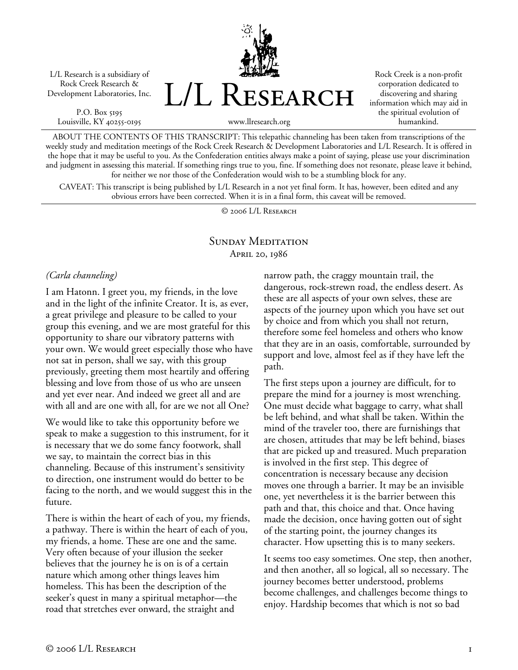L/L Research is a subsidiary of Rock Creek Research & Development Laboratories, Inc.

P.O. Box 5195 Louisville, KY 40255-0195



Rock Creek is a non-profit corporation dedicated to discovering and sharing information which may aid in the spiritual evolution of humankind.

www.llresearch.org

ABOUT THE CONTENTS OF THIS TRANSCRIPT: This telepathic channeling has been taken from transcriptions of the weekly study and meditation meetings of the Rock Creek Research & Development Laboratories and L/L Research. It is offered in the hope that it may be useful to you. As the Confederation entities always make a point of saying, please use your discrimination and judgment in assessing this material. If something rings true to you, fine. If something does not resonate, please leave it behind, for neither we nor those of the Confederation would wish to be a stumbling block for any.

CAVEAT: This transcript is being published by L/L Research in a not yet final form. It has, however, been edited and any obvious errors have been corrected. When it is in a final form, this caveat will be removed.

© 2006 L/L Research

### SUNDAY MEDITATION April 20, 1986

#### *(Carla channeling)*

I am Hatonn. I greet you, my friends, in the love and in the light of the infinite Creator. It is, as ever, a great privilege and pleasure to be called to your group this evening, and we are most grateful for this opportunity to share our vibratory patterns with your own. We would greet especially those who have not sat in person, shall we say, with this group previously, greeting them most heartily and offering blessing and love from those of us who are unseen and yet ever near. And indeed we greet all and are with all and are one with all, for are we not all One?

We would like to take this opportunity before we speak to make a suggestion to this instrument, for it is necessary that we do some fancy footwork, shall we say, to maintain the correct bias in this channeling. Because of this instrument's sensitivity to direction, one instrument would do better to be facing to the north, and we would suggest this in the future.

There is within the heart of each of you, my friends, a pathway. There is within the heart of each of you, my friends, a home. These are one and the same. Very often because of your illusion the seeker believes that the journey he is on is of a certain nature which among other things leaves him homeless. This has been the description of the seeker's quest in many a spiritual metaphor—the road that stretches ever onward, the straight and

narrow path, the craggy mountain trail, the dangerous, rock-strewn road, the endless desert. As these are all aspects of your own selves, these are aspects of the journey upon which you have set out by choice and from which you shall not return, therefore some feel homeless and others who know that they are in an oasis, comfortable, surrounded by support and love, almost feel as if they have left the path.

The first steps upon a journey are difficult, for to prepare the mind for a journey is most wrenching. One must decide what baggage to carry, what shall be left behind, and what shall be taken. Within the mind of the traveler too, there are furnishings that are chosen, attitudes that may be left behind, biases that are picked up and treasured. Much preparation is involved in the first step. This degree of concentration is necessary because any decision moves one through a barrier. It may be an invisible one, yet nevertheless it is the barrier between this path and that, this choice and that. Once having made the decision, once having gotten out of sight of the starting point, the journey changes its character. How upsetting this is to many seekers.

It seems too easy sometimes. One step, then another, and then another, all so logical, all so necessary. The journey becomes better understood, problems become challenges, and challenges become things to enjoy. Hardship becomes that which is not so bad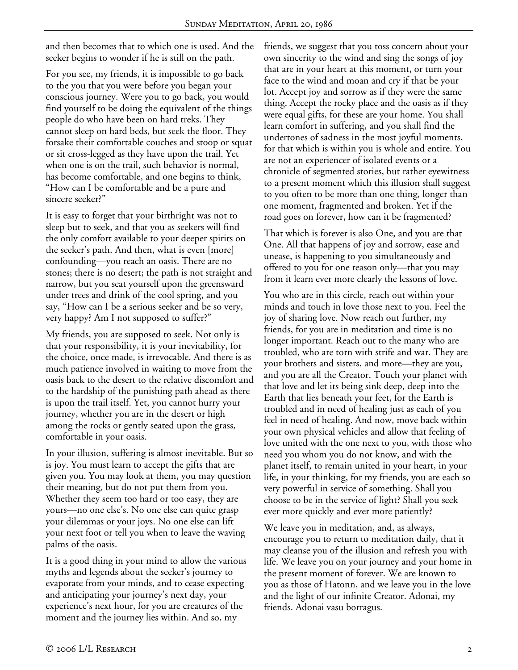and then becomes that to which one is used. And the seeker begins to wonder if he is still on the path.

For you see, my friends, it is impossible to go back to the you that you were before you began your conscious journey. Were you to go back, you would find yourself to be doing the equivalent of the things people do who have been on hard treks. They cannot sleep on hard beds, but seek the floor. They forsake their comfortable couches and stoop or squat or sit cross-legged as they have upon the trail. Yet when one is on the trail, such behavior is normal, has become comfortable, and one begins to think, "How can I be comfortable and be a pure and sincere seeker?"

It is easy to forget that your birthright was not to sleep but to seek, and that you as seekers will find the only comfort available to your deeper spirits on the seeker's path. And then, what is even [more] confounding—you reach an oasis. There are no stones; there is no desert; the path is not straight and narrow, but you seat yourself upon the greensward under trees and drink of the cool spring, and you say, "How can I be a serious seeker and be so very, very happy? Am I not supposed to suffer?"

My friends, you are supposed to seek. Not only is that your responsibility, it is your inevitability, for the choice, once made, is irrevocable. And there is as much patience involved in waiting to move from the oasis back to the desert to the relative discomfort and to the hardship of the punishing path ahead as there is upon the trail itself. Yet, you cannot hurry your journey, whether you are in the desert or high among the rocks or gently seated upon the grass, comfortable in your oasis.

In your illusion, suffering is almost inevitable. But so is joy. You must learn to accept the gifts that are given you. You may look at them, you may question their meaning, but do not put them from you. Whether they seem too hard or too easy, they are yours—no one else's. No one else can quite grasp your dilemmas or your joys. No one else can lift your next foot or tell you when to leave the waving palms of the oasis.

It is a good thing in your mind to allow the various myths and legends about the seeker's journey to evaporate from your minds, and to cease expecting and anticipating your journey's next day, your experience's next hour, for you are creatures of the moment and the journey lies within. And so, my

friends, we suggest that you toss concern about your own sincerity to the wind and sing the songs of joy that are in your heart at this moment, or turn your face to the wind and moan and cry if that be your lot. Accept joy and sorrow as if they were the same thing. Accept the rocky place and the oasis as if they were equal gifts, for these are your home. You shall learn comfort in suffering, and you shall find the undertones of sadness in the most joyful moments, for that which is within you is whole and entire. You are not an experiencer of isolated events or a chronicle of segmented stories, but rather eyewitness to a present moment which this illusion shall suggest to you often to be more than one thing, longer than one moment, fragmented and broken. Yet if the road goes on forever, how can it be fragmented?

That which is forever is also One, and you are that One. All that happens of joy and sorrow, ease and unease, is happening to you simultaneously and offered to you for one reason only—that you may from it learn ever more clearly the lessons of love.

You who are in this circle, reach out within your minds and touch in love those next to you. Feel the joy of sharing love. Now reach out further, my friends, for you are in meditation and time is no longer important. Reach out to the many who are troubled, who are torn with strife and war. They are your brothers and sisters, and more—they are you, and you are all the Creator. Touch your planet with that love and let its being sink deep, deep into the Earth that lies beneath your feet, for the Earth is troubled and in need of healing just as each of you feel in need of healing. And now, move back within your own physical vehicles and allow that feeling of love united with the one next to you, with those who need you whom you do not know, and with the planet itself, to remain united in your heart, in your life, in your thinking, for my friends, you are each so very powerful in service of something. Shall you choose to be in the service of light? Shall you seek ever more quickly and ever more patiently?

We leave you in meditation, and, as always, encourage you to return to meditation daily, that it may cleanse you of the illusion and refresh you with life. We leave you on your journey and your home in the present moment of forever. We are known to you as those of Hatonn, and we leave you in the love and the light of our infinite Creator. Adonai, my friends. Adonai vasu borragus.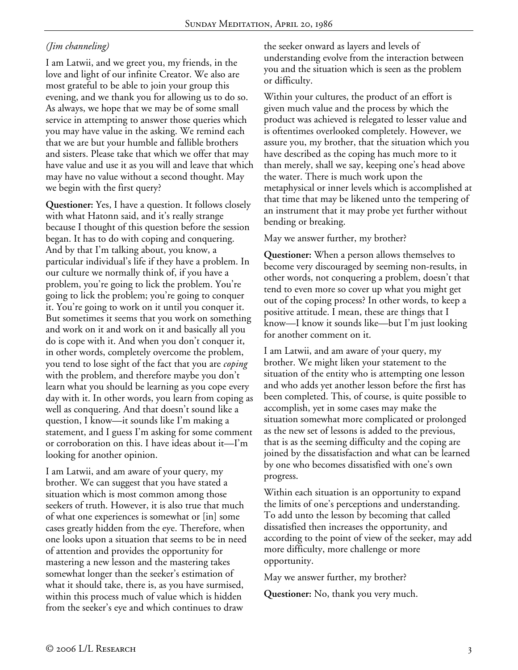# *(Jim channeling)*

I am Latwii, and we greet you, my friends, in the love and light of our infinite Creator. We also are most grateful to be able to join your group this evening, and we thank you for allowing us to do so. As always, we hope that we may be of some small service in attempting to answer those queries which you may have value in the asking. We remind each that we are but your humble and fallible brothers and sisters. Please take that which we offer that may have value and use it as you will and leave that which may have no value without a second thought. May we begin with the first query?

**Questioner:** Yes, I have a question. It follows closely with what Hatonn said, and it's really strange because I thought of this question before the session began. It has to do with coping and conquering. And by that I'm talking about, you know, a particular individual's life if they have a problem. In our culture we normally think of, if you have a problem, you're going to lick the problem. You're going to lick the problem; you're going to conquer it. You're going to work on it until you conquer it. But sometimes it seems that you work on something and work on it and work on it and basically all you do is cope with it. And when you don't conquer it, in other words, completely overcome the problem, you tend to lose sight of the fact that you are *coping* with the problem, and therefore maybe you don't learn what you should be learning as you cope every day with it. In other words, you learn from coping as well as conquering. And that doesn't sound like a question, I know—it sounds like I'm making a statement, and I guess I'm asking for some comment or corroboration on this. I have ideas about it—I'm looking for another opinion.

I am Latwii, and am aware of your query, my brother. We can suggest that you have stated a situation which is most common among those seekers of truth. However, it is also true that much of what one experiences is somewhat or [in] some cases greatly hidden from the eye. Therefore, when one looks upon a situation that seems to be in need of attention and provides the opportunity for mastering a new lesson and the mastering takes somewhat longer than the seeker's estimation of what it should take, there is, as you have surmised, within this process much of value which is hidden from the seeker's eye and which continues to draw

the seeker onward as layers and levels of understanding evolve from the interaction between you and the situation which is seen as the problem or difficulty.

Within your cultures, the product of an effort is given much value and the process by which the product was achieved is relegated to lesser value and is oftentimes overlooked completely. However, we assure you, my brother, that the situation which you have described as the coping has much more to it than merely, shall we say, keeping one's head above the water. There is much work upon the metaphysical or inner levels which is accomplished at that time that may be likened unto the tempering of an instrument that it may probe yet further without bending or breaking.

May we answer further, my brother?

**Questioner:** When a person allows themselves to become very discouraged by seeming non-results, in other words, not conquering a problem, doesn't that tend to even more so cover up what you might get out of the coping process? In other words, to keep a positive attitude. I mean, these are things that I know—I know it sounds like—but I'm just looking for another comment on it.

I am Latwii, and am aware of your query, my brother. We might liken your statement to the situation of the entity who is attempting one lesson and who adds yet another lesson before the first has been completed. This, of course, is quite possible to accomplish, yet in some cases may make the situation somewhat more complicated or prolonged as the new set of lessons is added to the previous, that is as the seeming difficulty and the coping are joined by the dissatisfaction and what can be learned by one who becomes dissatisfied with one's own progress.

Within each situation is an opportunity to expand the limits of one's perceptions and understanding. To add unto the lesson by becoming that called dissatisfied then increases the opportunity, and according to the point of view of the seeker, may add more difficulty, more challenge or more opportunity.

May we answer further, my brother?

**Questioner:** No, thank you very much.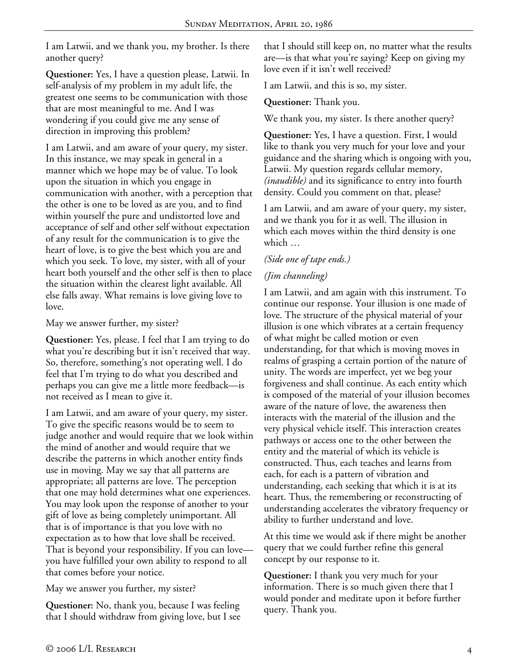I am Latwii, and we thank you, my brother. Is there another query?

**Questioner:** Yes, I have a question please, Latwii. In self-analysis of my problem in my adult life, the greatest one seems to be communication with those that are most meaningful to me. And I was wondering if you could give me any sense of direction in improving this problem?

I am Latwii, and am aware of your query, my sister. In this instance, we may speak in general in a manner which we hope may be of value. To look upon the situation in which you engage in communication with another, with a perception that the other is one to be loved as are you, and to find within yourself the pure and undistorted love and acceptance of self and other self without expectation of any result for the communication is to give the heart of love, is to give the best which you are and which you seek. To love, my sister, with all of your heart both yourself and the other self is then to place the situation within the clearest light available. All else falls away. What remains is love giving love to love.

May we answer further, my sister?

**Questioner:** Yes, please. I feel that I am trying to do what you're describing but it isn't received that way. So, therefore, something's not operating well. I do feel that I'm trying to do what you described and perhaps you can give me a little more feedback—is not received as I mean to give it.

I am Latwii, and am aware of your query, my sister. To give the specific reasons would be to seem to judge another and would require that we look within the mind of another and would require that we describe the patterns in which another entity finds use in moving. May we say that all patterns are appropriate; all patterns are love. The perception that one may hold determines what one experiences. You may look upon the response of another to your gift of love as being completely unimportant. All that is of importance is that you love with no expectation as to how that love shall be received. That is beyond your responsibility. If you can love you have fulfilled your own ability to respond to all that comes before your notice.

May we answer you further, my sister?

**Questioner:** No, thank you, because I was feeling that I should withdraw from giving love, but I see that I should still keep on, no matter what the results are—is that what you're saying? Keep on giving my love even if it isn't well received?

I am Latwii, and this is so, my sister.

**Questioner:** Thank you.

We thank you, my sister. Is there another query?

**Questioner:** Yes, I have a question. First, I would like to thank you very much for your love and your guidance and the sharing which is ongoing with you, Latwii. My question regards cellular memory, *(inaudible)* and its significance to entry into fourth density. Could you comment on that, please?

I am Latwii, and am aware of your query, my sister, and we thank you for it as well. The illusion in which each moves within the third density is one which …

## *(Side one of tape ends.)*

# *(Jim channeling)*

I am Latwii, and am again with this instrument. To continue our response. Your illusion is one made of love. The structure of the physical material of your illusion is one which vibrates at a certain frequency of what might be called motion or even understanding, for that which is moving moves in realms of grasping a certain portion of the nature of unity. The words are imperfect, yet we beg your forgiveness and shall continue. As each entity which is composed of the material of your illusion becomes aware of the nature of love, the awareness then interacts with the material of the illusion and the very physical vehicle itself. This interaction creates pathways or access one to the other between the entity and the material of which its vehicle is constructed. Thus, each teaches and learns from each, for each is a pattern of vibration and understanding, each seeking that which it is at its heart. Thus, the remembering or reconstructing of understanding accelerates the vibratory frequency or ability to further understand and love.

At this time we would ask if there might be another query that we could further refine this general concept by our response to it.

**Questioner:** I thank you very much for your information. There is so much given there that I would ponder and meditate upon it before further query. Thank you.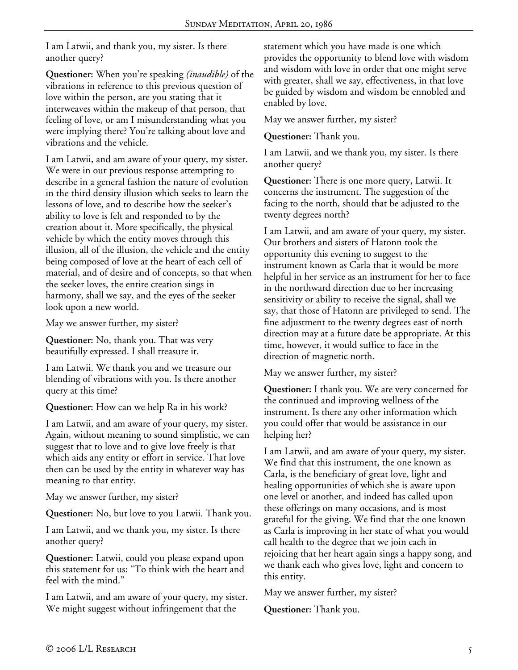I am Latwii, and thank you, my sister. Is there another query?

**Questioner:** When you're speaking *(inaudible)* of the vibrations in reference to this previous question of love within the person, are you stating that it interweaves within the makeup of that person, that feeling of love, or am I misunderstanding what you were implying there? You're talking about love and vibrations and the vehicle.

I am Latwii, and am aware of your query, my sister. We were in our previous response attempting to describe in a general fashion the nature of evolution in the third density illusion which seeks to learn the lessons of love, and to describe how the seeker's ability to love is felt and responded to by the creation about it. More specifically, the physical vehicle by which the entity moves through this illusion, all of the illusion, the vehicle and the entity being composed of love at the heart of each cell of material, and of desire and of concepts, so that when the seeker loves, the entire creation sings in harmony, shall we say, and the eyes of the seeker look upon a new world.

May we answer further, my sister?

**Questioner:** No, thank you. That was very beautifully expressed. I shall treasure it.

I am Latwii. We thank you and we treasure our blending of vibrations with you. Is there another query at this time?

**Questioner:** How can we help Ra in his work?

I am Latwii, and am aware of your query, my sister. Again, without meaning to sound simplistic, we can suggest that to love and to give love freely is that which aids any entity or effort in service. That love then can be used by the entity in whatever way has meaning to that entity.

May we answer further, my sister?

**Questioner:** No, but love to you Latwii. Thank you.

I am Latwii, and we thank you, my sister. Is there another query?

**Questioner:** Latwii, could you please expand upon this statement for us: "To think with the heart and feel with the mind."

I am Latwii, and am aware of your query, my sister. We might suggest without infringement that the

statement which you have made is one which provides the opportunity to blend love with wisdom and wisdom with love in order that one might serve with greater, shall we say, effectiveness, in that love be guided by wisdom and wisdom be ennobled and enabled by love.

May we answer further, my sister?

**Questioner:** Thank you.

I am Latwii, and we thank you, my sister. Is there another query?

**Questioner:** There is one more query, Latwii. It concerns the instrument. The suggestion of the facing to the north, should that be adjusted to the twenty degrees north?

I am Latwii, and am aware of your query, my sister. Our brothers and sisters of Hatonn took the opportunity this evening to suggest to the instrument known as Carla that it would be more helpful in her service as an instrument for her to face in the northward direction due to her increasing sensitivity or ability to receive the signal, shall we say, that those of Hatonn are privileged to send. The fine adjustment to the twenty degrees east of north direction may at a future date be appropriate. At this time, however, it would suffice to face in the direction of magnetic north.

May we answer further, my sister?

**Questioner:** I thank you. We are very concerned for the continued and improving wellness of the instrument. Is there any other information which you could offer that would be assistance in our helping her?

I am Latwii, and am aware of your query, my sister. We find that this instrument, the one known as Carla, is the beneficiary of great love, light and healing opportunities of which she is aware upon one level or another, and indeed has called upon these offerings on many occasions, and is most grateful for the giving. We find that the one known as Carla is improving in her state of what you would call health to the degree that we join each in rejoicing that her heart again sings a happy song, and we thank each who gives love, light and concern to this entity.

May we answer further, my sister?

**Questioner:** Thank you.